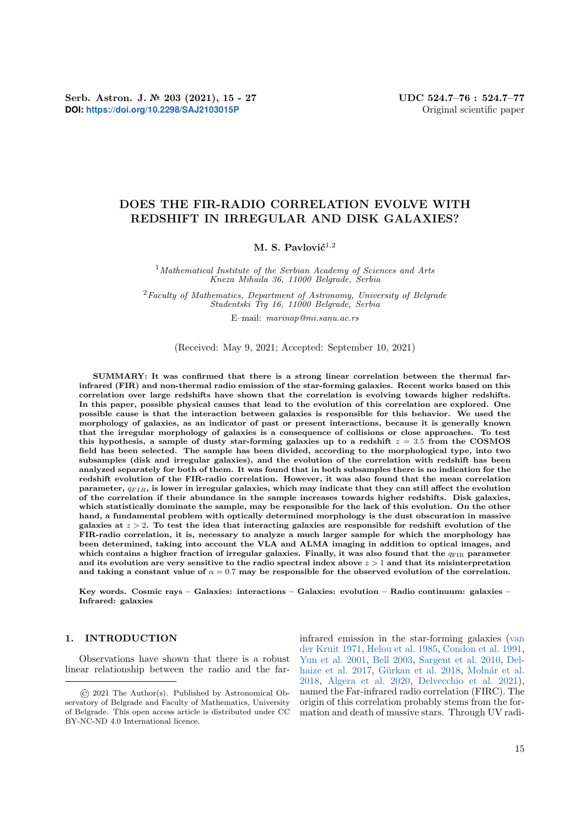# DOES THE FIR-RADIO CORRELATION EVOLVE WITH REDSHIFT IN IRREGULAR AND DISK GALAXIES?

## M. S. Pavlović $^{1,2}$

 $1$ Mathematical Institute of the Serbian Academy of Sciences and Arts Kneza Mihaila 36, 11000 Belgrade, Serbia

 $2$ Faculty of Mathematics, Department of Astronomy, University of Belgrade Studentski Trg 16, 11000 Belgrade, Serbia

E–mail: marinap@mi.sanu.ac.rs

(Received: May 9, 2021; Accepted: September 10, 2021)

SUMMARY: It was confirmed that there is a strong linear correlation between the thermal farinfrared (FIR) and non-thermal radio emission of the star-forming galaxies. Recent works based on this correlation over large redshifts have shown that the correlation is evolving towards higher redshifts. In this paper, possible physical causes that lead to the evolution of this correlation are explored. One possible cause is that the interaction between galaxies is responsible for this behavior. We used the morphology of galaxies, as an indicator of past or present interactions, because it is generally known that the irregular morphology of galaxies is a consequence of collisions or close approaches. To test this hypothesis, a sample of dusty star-forming galaxies up to a redshift  $z = 3.5$  from the COSMOS field has been selected. The sample has been divided, according to the morphological type, into two subsamples (disk and irregular galaxies), and the evolution of the correlation with redshift has been analyzed separately for both of them. It was found that in both subsamples there is no indication for the redshift evolution of the FIR-radio correlation. However, it was also found that the mean correlation parameter,  $q_{FIR}$ , is lower in irregular galaxies, which may indicate that they can still affect the evolution of the correlation if their abundance in the sample increases towards higher redshifts. Disk galaxies, which statistically dominate the sample, may be responsible for the lack of this evolution. On the other hand, a fundamental problem with optically determined morphology is the dust obscuration in massive galaxies at  $z > 2$ . To test the idea that interacting galaxies are responsible for redshift evolution of the FIR-radio correlation, it is, necessary to analyze a much larger sample for which the morphology has been determined, taking into account the VLA and ALMA imaging in addition to optical images, and which contains a higher fraction of irregular galaxies. Finally, it was also found that the  $q_{\text{FIR}}$  parameter and its evolution are very sensitive to the radio spectral index above  $z > 1$  and that its misinterpretation and taking a constant value of  $\alpha = 0.7$  may be responsible for the observed evolution of the correlation.

Key words. Cosmic rays – Galaxies: interactions – Galaxies: evolution – Radio continuum: galaxies – Infrared: galaxies

### <span id="page-0-0"></span>1. INTRODUCTION

Observations have shown that there is a robust linear relationship between the radio and the farinfrared emission in the star-forming galaxies [\(van](#page-12-0) [der Kruit](#page-12-0) [1971,](#page-12-0) [Helou et al.](#page-11-0) [1985,](#page-11-0) [Condon et al.](#page-11-1) [1991,](#page-11-1) [Yun et al.](#page-12-1) [2001,](#page-12-1) [Bell](#page-11-2) [2003,](#page-11-2) [Sargent et al.](#page-11-3) [2010,](#page-11-3) [Del](#page-11-4)[haize et al.](#page-11-4) [2017,](#page-11-4) Gürkan et al. [2018,](#page-11-5) Molnár et al. [2018,](#page-11-6) [Algera et al.](#page-11-7) [2020,](#page-11-7) [Delvecchio et al.](#page-11-8) [2021\)](#page-11-8), named the Far-infrared radio correlation (FIRC). The origin of this correlation probably stems from the formation and death of massive stars. Through UV radi-

<sup>©</sup> 2021 The Author(s). Published by Astronomical Observatory of Belgrade and Faculty of Mathematics, University of Belgrade. This open access article is distributed under CC BY-NC-ND 4.0 International licence.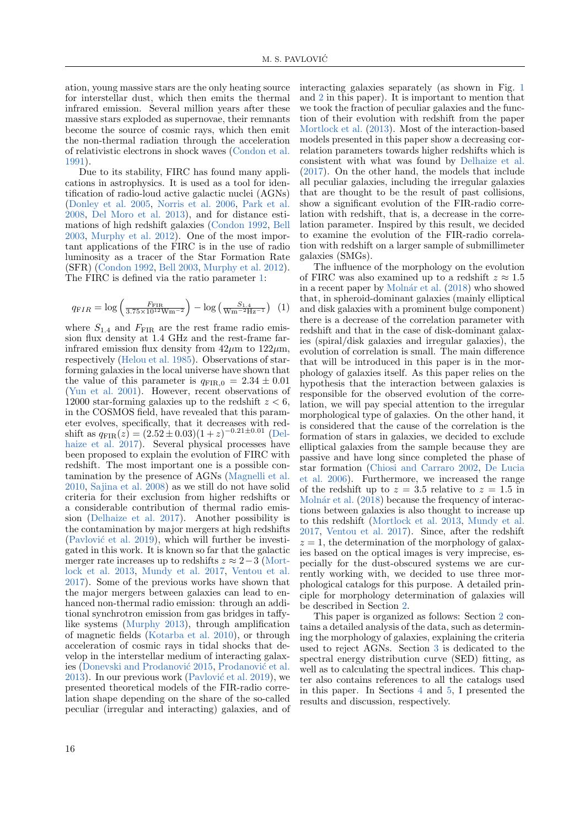ation, young massive stars are the only heating source for interstellar dust, which then emits the thermal infrared emission. Several million years after these massive stars exploded as supernovae, their remnants become the source of cosmic rays, which then emit the non-thermal radiation through the acceleration of relativistic electrons in shock waves [\(Condon et al.](#page-11-1) [1991\)](#page-11-1).

Due to its stability, FIRC has found many applications in astrophysics. It is used as a tool for identification of radio-loud active galactic nuclei (AGNs) [\(Donley et al.](#page-11-9) [2005,](#page-11-9) [Norris et al.](#page-11-10) [2006,](#page-11-10) [Park et al.](#page-11-11) [2008,](#page-11-11) [Del Moro et al.](#page-11-12) [2013\)](#page-11-12), and for distance estimations of high redshift galaxies [\(Condon](#page-11-13) [1992,](#page-11-13) [Bell](#page-11-2) [2003,](#page-11-2) [Murphy et al.](#page-11-14) [2012\)](#page-11-14). One of the most important applications of the FIRC is in the use of radio luminosity as a tracer of the Star Formation Rate (SFR) [\(Condon](#page-11-13) [1992,](#page-11-13) [Bell](#page-11-2) [2003,](#page-11-2) [Murphy et al.](#page-11-14) [2012\)](#page-11-14). The FIRC is defined via the ratio parameter [1:](#page-1-0)

<span id="page-1-0"></span>
$$
q_{\mathrm FIR} = \log\left(\frac{F_{\mathrm FIR}}{3.75 \times 10^{12} \mathrm{W} \mathrm{m}^{-2}}\right) - \log\left(\frac{S_{1.4}}{\mathrm{W} \mathrm{m}^{-2} \mathrm{Hz}^{-1}}\right) (1)
$$

where  $S_{1.4}$  and  $F_{\text{FIR}}$  are the rest frame radio emission flux density at 1.4 GHz and the rest-frame farinfrared emission flux density from  $42\mu$ m to  $122\mu$ m, respectively [\(Helou et al.](#page-11-0) [1985\)](#page-11-0). Observations of starforming galaxies in the local universe have shown that the value of this parameter is  $q_{\text{FIR},0} = 2.34 \pm 0.01$ [\(Yun et al.](#page-12-1) [2001\)](#page-12-1). However, recent observations of 12000 star-forming galaxies up to the redshift  $z < 6$ , in the COSMOS field, have revealed that this parameter evolves, specifically, that it decreases with redshift as  $q_{\text{FIR}}(z) = (2.52 \pm 0.03)(1+z)^{-0.21 \pm 0.01}$  [\(Del](#page-11-4)[haize et al.](#page-11-4) [2017\)](#page-11-4). Several physical processes have been proposed to explain the evolution of FIRC with redshift. The most important one is a possible contamination by the presence of AGNs [\(Magnelli et al.](#page-11-15) [2010,](#page-11-15) [Sajina et al.](#page-11-16) [2008\)](#page-11-16) as we still do not have solid criteria for their exclusion from higher redshifts or a considerable contribution of thermal radio emission [\(Delhaize et al.](#page-11-4) [2017\)](#page-11-4). Another possibility is the contamination by major mergers at high redshifts  $(Pavlov'$  et al. [2019\)](#page-11-17), which will further be investigated in this work. It is known so far that the galactic merger rate increases up to redshifts  $z \approx 2-3$  [\(Mort](#page-11-18)[lock et al.](#page-11-18) [2013,](#page-11-18) [Mundy et al.](#page-11-19) [2017,](#page-11-19) [Ventou et al.](#page-12-2) [2017\)](#page-12-2). Some of the previous works have shown that the major mergers between galaxies can lead to enhanced non-thermal radio emission: through an additional synchrotron emission from gas bridges in taffylike systems [\(Murphy](#page-11-20) [2013\)](#page-11-20), through amplification of magnetic fields [\(Kotarba et al.](#page-11-21) [2010\)](#page-11-21), or through acceleration of cosmic rays in tidal shocks that develop in the interstellar medium of interacting galax-ies (Donevski and Prodanović [2015,](#page-11-22) Prodanović et al. [2013\)](#page-11-23). In our previous work (Pavlović et al. [2019\)](#page-11-17), we presented theoretical models of the FIR-radio correlation shape depending on the share of the so-called peculiar (irregular and interacting) galaxies, and of

interacting galaxies separately (as shown in Fig. [1](#page-3-0) and [2](#page-4-0) in this paper). It is important to mention that we took the fraction of peculiar galaxies and the function of their evolution with redshift from the paper [Mortlock et al.](#page-11-18) [\(2013\)](#page-11-18). Most of the interaction-based models presented in this paper show a decreasing correlation parameters towards higher redshifts which is consistent with what was found by [Delhaize et al.](#page-11-4) [\(2017\)](#page-11-4). On the other hand, the models that include all peculiar galaxies, including the irregular galaxies that are thought to be the result of past collisions, show a significant evolution of the FIR-radio correlation with redshift, that is, a decrease in the correlation parameter. Inspired by this result, we decided to examine the evolution of the FIR-radio correlation with redshift on a larger sample of submillimeter galaxies (SMGs).

The influence of the morphology on the evolution of FIRC was also examined up to a redshift  $z \approx 1.5$ in a recent paper by Molnár et al. [\(2018\)](#page-11-6) who showed that, in spheroid-dominant galaxies (mainly elliptical and disk galaxies with a prominent bulge component) there is a decrease of the correlation parameter with redshift and that in the case of disk-dominant galaxies (spiral/disk galaxies and irregular galaxies), the evolution of correlation is small. The main difference that will be introduced in this paper is in the morphology of galaxies itself. As this paper relies on the hypothesis that the interaction between galaxies is responsible for the observed evolution of the correlation, we will pay special attention to the irregular morphological type of galaxies. On the other hand, it is considered that the cause of the correlation is the formation of stars in galaxies, we decided to exclude elliptical galaxies from the sample because they are passive and have long since completed the phase of star formation [\(Chiosi and Carraro](#page-11-24) [2002,](#page-11-24) [De Lucia](#page-11-25) [et al.](#page-11-25) [2006\)](#page-11-25). Furthermore, we increased the range of the redshift up to  $z = 3.5$  relative to  $z = 1.5$  in Molnár et al. [\(2018\)](#page-11-6) because the frequency of interactions between galaxies is also thought to increase up to this redshift [\(Mortlock et al.](#page-11-18) [2013,](#page-11-18) [Mundy et al.](#page-11-19) [2017,](#page-11-19) [Ventou et al.](#page-12-2) [2017\)](#page-12-2). Since, after the redshift  $z = 1$ , the determination of the morphology of galaxies based on the optical images is very imprecise, especially for the dust-obscured systems we are currently working with, we decided to use three morphological catalogs for this purpose. A detailed principle for morphology determination of galaxies will be described in Section [2.](#page-2-0)

This paper is organized as follows: Section [2](#page-2-0) contains a detailed analysis of the data, such as determining the morphology of galaxies, explaining the criteria used to reject AGNs. Section [3](#page-2-1) is dedicated to the spectral energy distribution curve (SED) fitting, as well as to calculating the spectral indices. This chapter also contains references to all the catalogs used in this paper. In Sections [4](#page-4-1) and [5,](#page-6-0) I presented the results and discussion, respectively.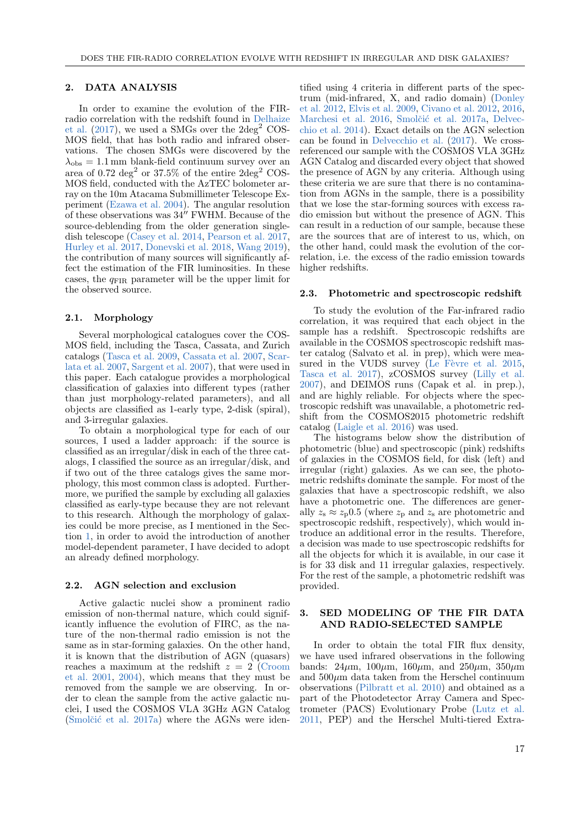#### <span id="page-2-0"></span>2. DATA ANALYSIS

In order to examine the evolution of the FIRradio correlation with the redshift found in [Delhaize](#page-11-4) [et al.](#page-11-4)  $(2017)$ , we used a SMGs over the  $2\text{deg}^2$  COS-MOS field, that has both radio and infrared observations. The chosen SMGs were discovered by the  $\lambda_{\rm obs} = 1.1$  mm blank-field continuum survey over an area of 0.72 deg<sup>2</sup> or 37.5% of the entire  $2 \text{deg}^2$  COS-MOS field, conducted with the AzTEC bolometer array on the 10m Atacama Submillimeter Telescope Experiment [\(Ezawa et al.](#page-11-26) [2004\)](#page-11-26). The angular resolution of these observations was  $34''$  FWHM. Because of the source-deblending from the older generation singledish telescope [\(Casey et al.](#page-11-27) [2014,](#page-11-27) [Pearson et al.](#page-11-28) [2017,](#page-11-28) [Hurley et al.](#page-11-29) [2017,](#page-11-29) [Donevski et al.](#page-11-30) [2018,](#page-11-30) [Wang](#page-12-3) [2019\)](#page-12-3), the contribution of many sources will significantly affect the estimation of the FIR luminosities. In these cases, the  $q_{\rm FIR}$  parameter will be the upper limit for the observed source.

### 2.1. Morphology

Several morphological catalogues cover the COS-MOS field, including the Tasca, Cassata, and Zurich catalogs [\(Tasca et al.](#page-12-4) [2009,](#page-12-4) [Cassata et al.](#page-11-31) [2007,](#page-11-31) [Scar](#page-12-5)[lata et al.](#page-12-5) [2007,](#page-12-5) [Sargent et al.](#page-11-32) [2007\)](#page-11-32), that were used in this paper. Each catalogue provides a morphological classification of galaxies into different types (rather than just morphology-related parameters), and all objects are classified as 1-early type, 2-disk (spiral), and 3-irregular galaxies.

To obtain a morphological type for each of our sources, I used a ladder approach: if the source is classified as an irregular/disk in each of the three catalogs, I classified the source as an irregular/disk, and if two out of the three catalogs gives the same morphology, this most common class is adopted. Furthermore, we purified the sample by excluding all galaxies classified as early-type because they are not relevant to this research. Although the morphology of galaxies could be more precise, as I mentioned in the Section [1,](#page-0-0) in order to avoid the introduction of another model-dependent parameter, I have decided to adopt an already defined morphology.

### 2.2. AGN selection and exclusion

Active galactic nuclei show a prominent radio emission of non-thermal nature, which could significantly influence the evolution of FIRC, as the nature of the non-thermal radio emission is not the same as in star-forming galaxies. On the other hand, it is known that the distribution of AGN (quasars) reaches a maximum at the redshift  $z = 2$  [\(Croom](#page-11-33) [et al.](#page-11-33) [2001,](#page-11-33) [2004\)](#page-11-34), which means that they must be removed from the sample we are observing. In order to clean the sample from the active galactic nuclei, I used the COSMOS VLA 3GHz AGN Catalog  $(Smolčić et al. 2017a)$  $(Smolčić et al. 2017a)$  where the AGNs were identified using 4 criteria in different parts of the spectrum (mid-infrared, X, and radio domain) [\(Donley](#page-11-35) [et al.](#page-11-35) [2012,](#page-11-35) [Elvis et al.](#page-11-36) [2009,](#page-11-36) [Civano et al.](#page-11-37) [2012,](#page-11-37) [2016,](#page-11-38) [Marchesi et al.](#page-11-39) [2016,](#page-11-39) Smolčić et al. [2017a,](#page-12-6) [Delvec](#page-11-40)[chio et al.](#page-11-40) [2014\)](#page-11-40). Exact details on the AGN selection can be found in [Delvecchio et al.](#page-11-41) [\(2017\)](#page-11-41). We crossreferenced our sample with the COSMOS VLA 3GHz AGN Catalog and discarded every object that showed the presence of AGN by any criteria. Although using these criteria we are sure that there is no contamination from AGNs in the sample, there is a possibility that we lose the star-forming sources with excess radio emission but without the presence of AGN. This can result in a reduction of our sample, because these are the sources that are of interest to us, which, on the other hand, could mask the evolution of the correlation, i.e. the excess of the radio emission towards higher redshifts.

### 2.3. Photometric and spectroscopic redshift

To study the evolution of the Far-infrared radio correlation, it was required that each object in the sample has a redshift. Spectroscopic redshifts are available in the COSMOS spectroscopic redshift master catalog (Salvato et al. in prep), which were measured in the VUDS survey (Le Fèvre et al.  $2015$ , [Tasca et al.](#page-12-7) [2017\)](#page-12-7), zCOSMOS survey [\(Lilly et al.](#page-11-43) [2007\)](#page-11-43), and DEIMOS runs (Capak et al. in prep.), and are highly reliable. For objects where the spectroscopic redshift was unavailable, a photometric redshift from the COSMOS2015 photometric redshift catalog [\(Laigle et al.](#page-11-44) [2016\)](#page-11-44) was used.

The histograms below show the distribution of photometric (blue) and spectroscopic (pink) redshifts of galaxies in the COSMOS field, for disk (left) and irregular (right) galaxies. As we can see, the photometric redshifts dominate the sample. For most of the galaxies that have a spectroscopic redshift, we also have a photometric one. The differences are generally  $z_{\rm s} \approx z_{\rm p} 0.5$  (where  $z_{\rm p}$  and  $z_{\rm s}$  are photometric and spectroscopic redshift, respectively), which would introduce an additional error in the results. Therefore, a decision was made to use spectroscopic redshifts for all the objects for which it is available, in our case it is for 33 disk and 11 irregular galaxies, respectively. For the rest of the sample, a photometric redshift was provided.

### <span id="page-2-1"></span>3. SED MODELING OF THE FIR DATA AND RADIO-SELECTED SAMPLE

In order to obtain the total FIR flux density, we have used infrared observations in the following bands:  $24\mu$ m,  $100\mu$ m,  $160\mu$ m, and  $250\mu$ m,  $350\mu$ m and  $500\mu$ m data taken from the Herschel continuum observations [\(Pilbratt et al.](#page-11-45) [2010\)](#page-11-45) and obtained as a part of the Photodetector Array Camera and Spectrometer (PACS) Evolutionary Probe [\(Lutz et al.](#page-11-46) [2011,](#page-11-46) PEP) and the Herschel Multi-tiered Extra-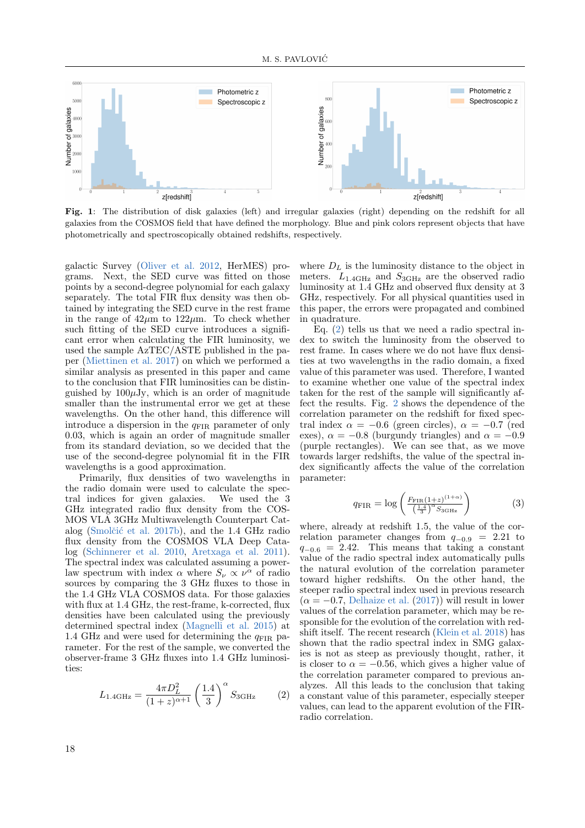

<span id="page-3-0"></span>Fig. 1: The distribution of disk galaxies (left) and irregular galaxies (right) depending on the redshift for all galaxies from the COSMOS field that have defined the morphology. Blue and pink colors represent objects that have photometrically and spectroscopically obtained redshifts, respectively.

galactic Survey [\(Oliver et al.](#page-11-47) [2012,](#page-11-47) HerMES) programs. Next, the SED curve was fitted on those points by a second-degree polynomial for each galaxy separately. The total FIR flux density was then obtained by integrating the SED curve in the rest frame in the range of  $42\mu$ m to  $122\mu$ m. To check whether such fitting of the SED curve introduces a significant error when calculating the FIR luminosity, we used the sample AzTEC/ASTE published in the paper [\(Miettinen et al.](#page-11-48) [2017\)](#page-11-48) on which we performed a similar analysis as presented in this paper and came to the conclusion that FIR luminosities can be distinguished by  $100\mu$ Jy, which is an order of magnitude smaller than the instrumental error we get at these wavelengths. On the other hand, this difference will introduce a dispersion in the  $q_{\text{FIR}}$  parameter of only 0.03, which is again an order of magnitude smaller from its standard deviation, so we decided that the use of the second-degree polynomial fit in the FIR wavelengths is a good approximation.

Primarily, flux densities of two wavelengths in the radio domain were used to calculate the spectral indices for given galaxies. We used the 3 GHz integrated radio flux density from the COS-MOS VLA 3GHz Multiwavelength Counterpart Cat-alog (Smolčić et al. [2017b\)](#page-12-8), and the 1.4 GHz radio flux density from the COSMOS VLA Deep Catalog [\(Schinnerer et al.](#page-12-9) [2010,](#page-12-9) [Aretxaga et al.](#page-11-49) [2011\)](#page-11-49). The spectral index was calculated assuming a powerlaw spectrum with index  $\alpha$  where  $S_{\nu} \propto \nu^{\alpha}$  of radio sources by comparing the 3 GHz fluxes to those in the 1.4 GHz VLA COSMOS data. For those galaxies with flux at 1.4 GHz, the rest-frame, k-corrected, flux densities have been calculated using the previously determined spectral index [\(Magnelli et al.](#page-11-50) [2015\)](#page-11-50) at 1.4 GHz and were used for determining the  $q_{\text{FIR}}$  parameter. For the rest of the sample, we converted the observer-frame 3 GHz fluxes into 1.4 GHz luminosities:

<span id="page-3-1"></span>
$$
L_{1.4\text{GHz}} = \frac{4\pi D_L^2}{(1+z)^{\alpha+1}} \left(\frac{1.4}{3}\right)^{\alpha} S_{3\text{GHz}} \tag{2}
$$

where  $D<sub>L</sub>$  is the luminosity distance to the object in meters.  $L_{1.4\text{GHz}}$  and  $S_{3\text{GHz}}$  are the observed radio luminosity at 1.4 GHz and observed flux density at 3 GHz, respectively. For all physical quantities used in this paper, the errors were propagated and combined in quadrature.

Eq. [\(2\)](#page-3-1) tells us that we need a radio spectral index to switch the luminosity from the observed to rest frame. In cases where we do not have flux densities at two wavelengths in the radio domain, a fixed value of this parameter was used. Therefore, I wanted to examine whether one value of the spectral index taken for the rest of the sample will significantly affect the results. Fig. [2](#page-4-0) shows the dependence of the correlation parameter on the redshift for fixed spectral index  $\alpha = -0.6$  (green circles),  $\alpha = -0.7$  (red exes),  $\alpha = -0.8$  (burgundy triangles) and  $\alpha = -0.9$ (purple rectangles). We can see that, as we move towards larger redshifts, the value of the spectral index significantly affects the value of the correlation parameter:

$$
q_{\rm FIR} = \log \left( \frac{F_{\rm FIR}(1+z)^{(1+\alpha)}}{\left(\frac{1.4}{3}\right)^{\alpha} S_{3\rm GHz}} \right) \tag{3}
$$

where, already at redshift 1.5, the value of the correlation parameter changes from  $q_{-0.9}$  = 2.21 to  $q_{-0.6}$  = 2.42. This means that taking a constant value of the radio spectral index automatically pulls the natural evolution of the correlation parameter toward higher redshifts. On the other hand, the steeper radio spectral index used in previous research  $(\alpha = -0.7,$  [Delhaize et al.](#page-11-4) [\(2017\)](#page-11-4)) will result in lower values of the correlation parameter, which may be responsible for the evolution of the correlation with redshift itself. The recent research [\(Klein et al.](#page-11-51) [2018\)](#page-11-51) has shown that the radio spectral index in SMG galaxies is not as steep as previously thought, rather, it is closer to  $\alpha = -0.56$ , which gives a higher value of the correlation parameter compared to previous analyzes. All this leads to the conclusion that taking a constant value of this parameter, especially steeper values, can lead to the apparent evolution of the FIRradio correlation.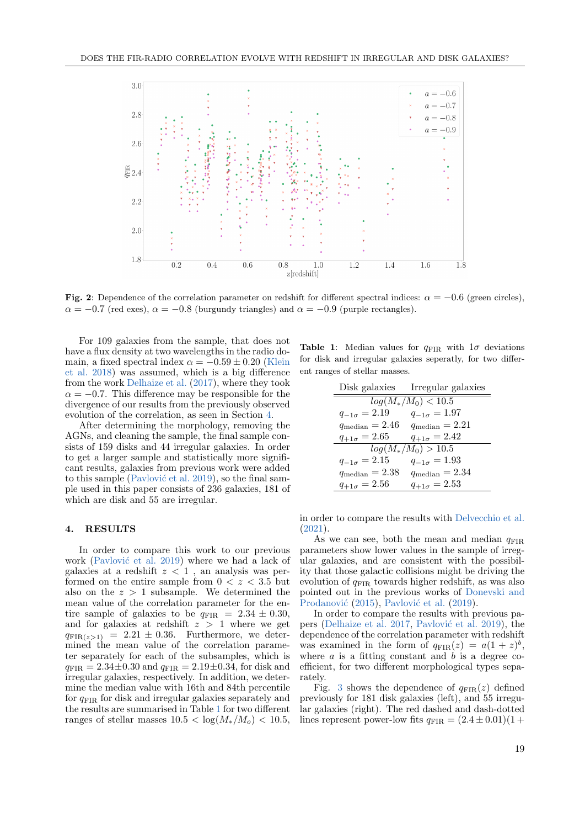

<span id="page-4-0"></span>Fig. 2: Dependence of the correlation parameter on redshift for different spectral indices:  $\alpha = -0.6$  (green circles),  $\alpha = -0.7$  (red exes),  $\alpha = -0.8$  (burgundy triangles) and  $\alpha = -0.9$  (purple rectangles).

For 109 galaxies from the sample, that does not have a flux density at two wavelengths in the radio domain, a fixed spectral index  $\alpha = -0.59 \pm 0.20$  [\(Klein](#page-11-51) [et al.](#page-11-51) [2018\)](#page-11-51) was assumed, which is a big difference from the work [Delhaize et al.](#page-11-4) [\(2017\)](#page-11-4), where they took  $\alpha = -0.7$ . This difference may be responsible for the divergence of our results from the previously observed evolution of the correlation, as seen in Section [4.](#page-4-1)

After determining the morphology, removing the AGNs, and cleaning the sample, the final sample consists of 159 disks and 44 irregular galaxies. In order to get a larger sample and statistically more significant results, galaxies from previous work were added to this sample (Pavlović et al. [2019\)](#page-11-17), so the final sample used in this paper consists of 236 galaxies, 181 of which are disk and 55 are irregular.

#### <span id="page-4-1"></span>4. RESULTS

In order to compare this work to our previous work (Pavlović et al. [2019\)](#page-11-17) where we had a lack of galaxies at a redshift  $z < 1$ , an analysis was performed on the entire sample from  $0 < z < 3.5$  but also on the  $z > 1$  subsample. We determined the mean value of the correlation parameter for the entire sample of galaxies to be  $q_{\text{FIR}} = 2.34 \pm 0.30$ , and for galaxies at redshift  $z > 1$  where we get  $q_{\text{FIR}(z>1)} = 2.21 \pm 0.36$ . Furthermore, we determined the mean value of the correlation parameter separately for each of the subsamples, which is  $q_{\text{FIR}} = 2.34 \pm 0.30$  and  $q_{\text{FIR}} = 2.19 \pm 0.34$ , for disk and irregular galaxies, respectively. In addition, we determine the median value with 16th and 84th percentile for  $q_{\text{FIR}}$  for disk and irregular galaxies separately and the results are summarised in Table [1](#page-4-2) for two different ranges of stellar masses  $10.5 < \log(M_*/M_o) < 10.5$ , <span id="page-4-2"></span>**Table 1:** Median values for  $q_{\text{FIR}}$  with  $1\sigma$  deviations for disk and irregular galaxies seperatly, for two different ranges of stellar masses.

|                            | Disk galaxies Irregular galaxies |  |  |  |  |  |
|----------------------------|----------------------------------|--|--|--|--|--|
| $log(M_*/M_0) < 10.5$      |                                  |  |  |  |  |  |
| $q_{-1\sigma} = 2.19$      | $q_{-1\sigma} = 1.97$            |  |  |  |  |  |
| $q_{\text{median}}=2.46$   | $q_{\text{median}} = 2.21$       |  |  |  |  |  |
| $q_{+1\sigma} = 2.65$      | $q_{+1\sigma} = 2.42$            |  |  |  |  |  |
| $log(M_*/M_0) > 10.5$      |                                  |  |  |  |  |  |
| $q_{-1\sigma} = 2.15$      | $q_{-1\sigma} = 1.93$            |  |  |  |  |  |
| $q_{\text{median}} = 2.38$ | $q_{\text{median}} = 2.34$       |  |  |  |  |  |
| $q_{+1\sigma} = 2.56$      | $q_{+1\sigma} = 2.53$            |  |  |  |  |  |

in order to compare the results with [Delvecchio et al.](#page-11-8) [\(2021\)](#page-11-8).

As we can see, both the mean and median  $q_{\text{FIR}}$ parameters show lower values in the sample of irregular galaxies, and are consistent with the possibility that those galactic collisions might be driving the evolution of  $q_{\text{FIR}}$  towards higher redshift, as was also pointed out in the previous works of [Donevski and](#page-11-22) Prodanović [\(2015\)](#page-11-22), Pavlović et al. [\(2019\)](#page-11-17).

In order to compare the results with previous pa-pers [\(Delhaize et al.](#page-11-4) [2017,](#page-11-4) Pavlović et al. [2019\)](#page-11-17), the dependence of the correlation parameter with redshift was examined in the form of  $q_{\text{FIR}}(z) = a(1+z)^b$ , where  $a$  is a fitting constant and  $b$  is a degree coefficient, for two different morphological types separately.

Fig. [3](#page-5-0) shows the dependence of  $q_{\text{FIR}}(z)$  defined previously for 181 disk galaxies (left), and 55 irregular galaxies (right). The red dashed and dash-dotted lines represent power-low fits  $q_{\text{FIR}} = (2.4 \pm 0.01)(1 +$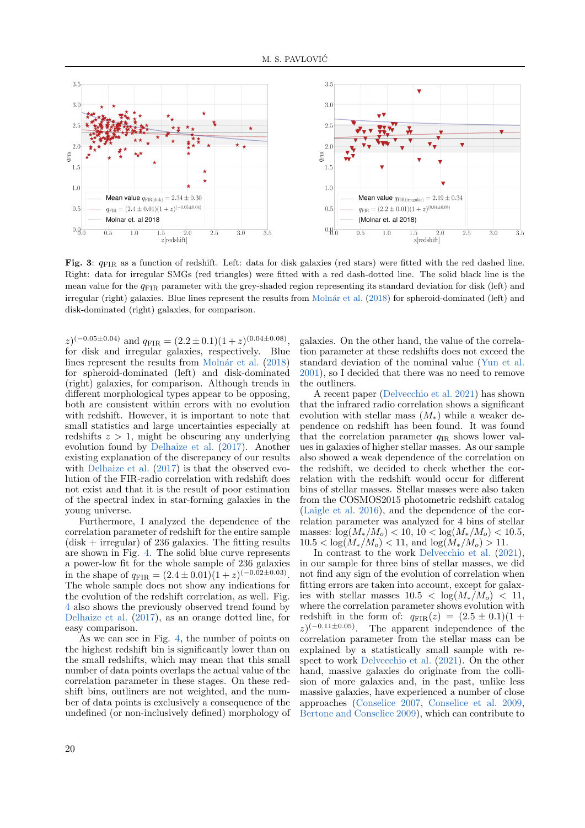

<span id="page-5-0"></span>Fig. 3:  $q_{\text{FIR}}$  as a function of redshift. Left: data for disk galaxies (red stars) were fitted with the red dashed line. Right: data for irregular SMGs (red triangles) were fitted with a red dash-dotted line. The solid black line is the mean value for the  $q_{\text{FIR}}$  parameter with the grey-shaded region representing its standard deviation for disk (left) and irregular (right) galaxies. Blue lines represent the results from Molnár et al. [\(2018\)](#page-11-6) for spheroid-dominated (left) and disk-dominated (right) galaxies, for comparison.

 $(z)^{(-0.05\pm0.04)}$  and  $q_{\text{FIR}} = (2.2\pm0.1)(1+z)^{(0.04\pm0.08)}$ , for disk and irregular galaxies, respectively. Blue lines represent the results from Molnár et al. [\(2018\)](#page-11-6) for spheroid-dominated (left) and disk-dominated (right) galaxies, for comparison. Although trends in different morphological types appear to be opposing, both are consistent within errors with no evolution with redshift. However, it is important to note that small statistics and large uncertainties especially at redshifts  $z > 1$ , might be obscuring any underlying evolution found by [Delhaize et al.](#page-11-4) [\(2017\)](#page-11-4). Another existing explanation of the discrepancy of our results with [Delhaize et al.](#page-11-4)  $(2017)$  is that the observed evolution of the FIR-radio correlation with redshift does not exist and that it is the result of poor estimation of the spectral index in star-forming galaxies in the young universe.

Furthermore, I analyzed the dependence of the correlation parameter of redshift for the entire sample  $(disk + irregular)$  of 236 galaxies. The fitting results are shown in Fig. [4.](#page-6-1) The solid blue curve represents a power-low fit for the whole sample of 236 galaxies in the shape of  $q_{\text{FIR}} = (2.4 \pm 0.01)(1+z)^{(-0.02 \pm 0.03)}$ . The whole sample does not show any indications for the evolution of the redshift correlation, as well. Fig. [4](#page-6-1) also shows the previously observed trend found by [Delhaize et al.](#page-11-4) [\(2017\)](#page-11-4), as an orange dotted line, for easy comparison.

As we can see in Fig. [4,](#page-5-0) the number of points on the highest redshift bin is significantly lower than on the small redshifts, which may mean that this small number of data points overlaps the actual value of the correlation parameter in these stages. On these redshift bins, outliners are not weighted, and the number of data points is exclusively a consequence of the undefined (or non-inclusively defined) morphology of galaxies. On the other hand, the value of the correlation parameter at these redshifts does not exceed the standard deviation of the nominal value [\(Yun et al.](#page-12-1) [2001\)](#page-12-1), so I decided that there was no need to remove the outliners.

A recent paper [\(Delvecchio et al.](#page-11-8) [2021\)](#page-11-8) has shown that the infrared radio correlation shows a significant evolution with stellar mass  $(M_*)$  while a weaker dependence on redshift has been found. It was found that the correlation parameter  $q_{IR}$  shows lower values in galaxies of higher stellar masses. As our sample also showed a weak dependence of the correlation on the redshift, we decided to check whether the correlation with the redshift would occur for different bins of stellar masses. Stellar masses were also taken from the COSMOS2015 photometric redshift catalog [\(Laigle et al.](#page-11-44) [2016\)](#page-11-44), and the dependence of the correlation parameter was analyzed for 4 bins of stellar masses:  $\log(M_*/M_o) < 10$ ,  $10 < \log(M_*/M_o) < 10.5$ ,  $10.5 < \log(M_*/M_o) < 11$ , and  $\log(M_*/M_o) > 11$ .

In contrast to the work [Delvecchio et al.](#page-11-8) [\(2021\)](#page-11-8), in our sample for three bins of stellar masses, we did not find any sign of the evolution of correlation when fitting errors are taken into account, except for galaxies with stellar masses  $10.5 < \log(M_*/M_o) < 11$ , where the correlation parameter shows evolution with redshift in the form of:  $q_{\text{FIR}}(z) = (2.5 \pm 0.1)(1 +$  $z$ )<sup>(-0.11±0.05)</sup>. The apparent independence of the correlation parameter from the stellar mass can be explained by a statistically small sample with respect to work [Delvecchio et al.](#page-11-8) [\(2021\)](#page-11-8). On the other hand, massive galaxies do originate from the collision of more galaxies and, in the past, unlike less massive galaxies, have experienced a number of close approaches [\(Conselice](#page-11-52) [2007,](#page-11-52) [Conselice et al.](#page-11-53) [2009,](#page-11-53) [Bertone and Conselice](#page-11-54) [2009\)](#page-11-54), which can contribute to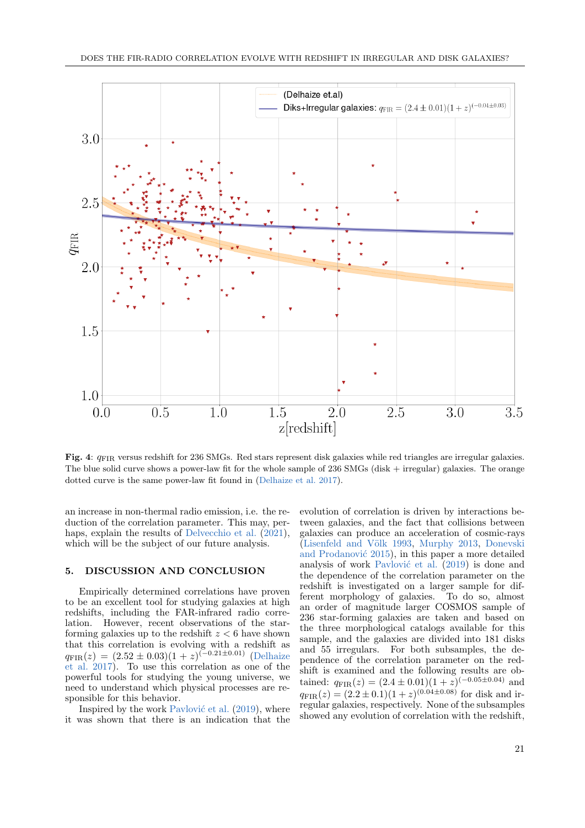

<span id="page-6-1"></span>Fig. 4: qFIR versus redshift for 236 SMGs. Red stars represent disk galaxies while red triangles are irregular galaxies. The blue solid curve shows a power-law fit for the whole sample of 236 SMGs (disk + irregular) galaxies. The orange dotted curve is the same power-law fit found in [\(Delhaize et al.](#page-11-4) [2017\)](#page-11-4).

an increase in non-thermal radio emission, i.e. the reduction of the correlation parameter. This may, per-haps, explain the results of [Delvecchio et al.](#page-11-8)  $(2021)$ , which will be the subject of our future analysis.

#### <span id="page-6-0"></span>5. DISCUSSION AND CONCLUSION

Empirically determined correlations have proven to be an excellent tool for studying galaxies at high redshifts, including the FAR-infrared radio correlation. However, recent observations of the starforming galaxies up to the redshift  $z < 6$  have shown that this correlation is evolving with a redshift as  $q_{\text{FIR}}(z) = (2.52 \pm 0.03)(1 + z)^{(-0.21 \pm 0.01)}$  [\(Delhaize](#page-11-4) [et al.](#page-11-4) [2017\)](#page-11-4). To use this correlation as one of the powerful tools for studying the young universe, we need to understand which physical processes are responsible for this behavior.

Inspired by the work Pavlović et al.  $(2019)$ , where it was shown that there is an indication that the

evolution of correlation is driven by interactions between galaxies, and the fact that collisions between galaxies can produce an acceleration of cosmic-rays (Lisenfeld and Völk [1993,](#page-11-55) [Murphy](#page-11-20) [2013,](#page-11-20) [Donevski](#page-11-22) and Prodanović [2015\)](#page-11-22), in this paper a more detailed analysis of work Pavlović et al.  $(2019)$  is done and the dependence of the correlation parameter on the redshift is investigated on a larger sample for different morphology of galaxies. To do so, almost an order of magnitude larger COSMOS sample of 236 star-forming galaxies are taken and based on the three morphological catalogs available for this sample, and the galaxies are divided into 181 disks and 55 irregulars. For both subsamples, the dependence of the correlation parameter on the redshift is examined and the following results are obtained:  $q_{\text{FIR}}(z) = (2.4 \pm 0.01)(1 + z)^{(-0.05 \pm 0.04)}$  and  $q_{\text{FIR}}(z) = (2.2 \pm 0.1)(1+z)^{(0.04 \pm 0.08)}$  for disk and irregular galaxies, respectively. None of the subsamples showed any evolution of correlation with the redshift,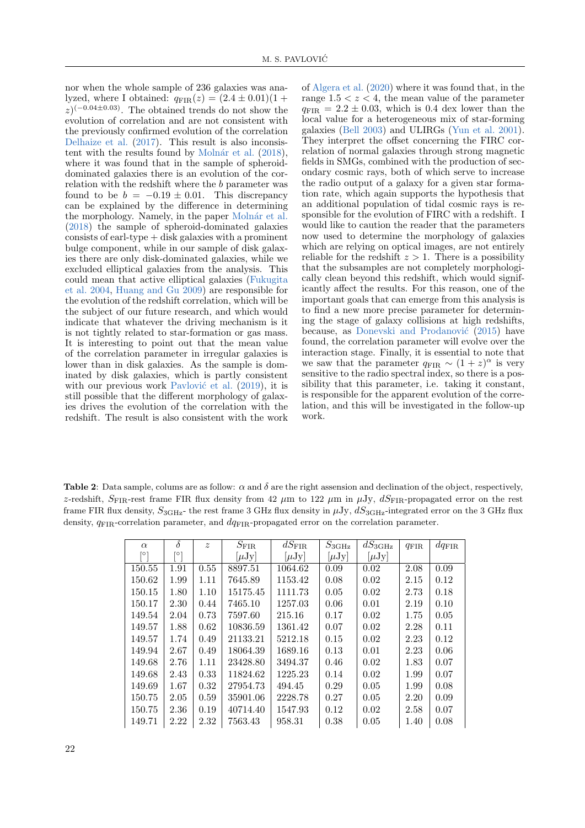nor when the whole sample of 236 galaxies was analyzed, where I obtained:  $q_{\text{FIR}}(z) = (2.4 \pm 0.01)(1 +$  $z$ <sup>(-0.04±0.03)</sup>. The obtained trends do not show the evolution of correlation and are not consistent with the previously confirmed evolution of the correlation [Delhaize et al.](#page-11-4) [\(2017\)](#page-11-4). This result is also inconsistent with the results found by Molnár et al.  $(2018)$ , where it was found that in the sample of spheroiddominated galaxies there is an evolution of the correlation with the redshift where the b parameter was found to be  $b = -0.19 \pm 0.01$ . This discrepancy can be explained by the difference in determining the morphology. Namely, in the paper Molnár et al. [\(2018\)](#page-11-6) the sample of spheroid-dominated galaxies  $consists of earl-type + disk galaxies with a prominent$ bulge component, while in our sample of disk galaxies there are only disk-dominated galaxies, while we excluded elliptical galaxies from the analysis. This could mean that active elliptical galaxies [\(Fukugita](#page-11-56) [et al.](#page-11-56) [2004,](#page-11-56) [Huang and Gu](#page-11-57) [2009\)](#page-11-57) are responsible for the evolution of the redshift correlation, which will be the subject of our future research, and which would indicate that whatever the driving mechanism is it is not tightly related to star-formation or gas mass. It is interesting to point out that the mean value of the correlation parameter in irregular galaxies is lower than in disk galaxies. As the sample is dominated by disk galaxies, which is partly consistent with our previous work Pavlović et al.  $(2019)$ , it is still possible that the different morphology of galaxies drives the evolution of the correlation with the redshift. The result is also consistent with the work of [Algera et al.](#page-11-7) [\(2020\)](#page-11-7) where it was found that, in the range  $1.5 < z < 4$ , the mean value of the parameter  $q_{\text{FIR}} = 2.2 \pm 0.03$ , which is 0.4 dex lower than the local value for a heterogeneous mix of star-forming galaxies [\(Bell](#page-11-2) [2003\)](#page-11-2) and ULIRGs [\(Yun et al.](#page-12-1) [2001\)](#page-12-1). They interpret the offset concerning the FIRC correlation of normal galaxies through strong magnetic fields in SMGs, combined with the production of secondary cosmic rays, both of which serve to increase the radio output of a galaxy for a given star formation rate, which again supports the hypothesis that an additional population of tidal cosmic rays is responsible for the evolution of FIRC with a redshift. I would like to caution the reader that the parameters now used to determine the morphology of galaxies which are relying on optical images, are not entirely reliable for the redshift  $z > 1$ . There is a possibility that the subsamples are not completely morphologically clean beyond this redshift, which would significantly affect the results. For this reason, one of the important goals that can emerge from this analysis is to find a new more precise parameter for determining the stage of galaxy collisions at high redshifts, because, as Donevski and Prodanović [\(2015\)](#page-11-22) have found, the correlation parameter will evolve over the interaction stage. Finally, it is essential to note that we saw that the parameter  $q_{\text{FIR}} \sim (1+z)^{\alpha}$  is very sensitive to the radio spectral index, so there is a possibility that this parameter, i.e. taking it constant, is responsible for the apparent evolution of the correlation, and this will be investigated in the follow-up work.

Table 2: Data sample, colums are as follow:  $\alpha$  and  $\delta$  are the right assension and declination of the object, respectively, z-redshift,  $S_{\text{FIR}}$ -rest frame FIR flux density from 42  $\mu$ m to 122  $\mu$ m in  $\mu$ Jy,  $dS_{\text{FIR}}$ -propagated error on the rest frame FIR flux density,  $S_{3\text{GHz}}$ - the rest frame 3 GHz flux density in  $\mu$ Jy,  $dS_{3\text{GHz}}$ -integrated error on the 3 GHz flux density,  $q_{\text{FIR}}$ -correlation parameter, and  $dq_{\text{FIR}}$ -propagated error on the correlation parameter.

| $\alpha$ | $\delta$ | $\boldsymbol{z}$ | $S_{\rm FIR}$ | $dS_{\rm FIR}$ | $S_{3\text{GHz}}$ | $dS_{3\rm GHz}$ | $q_{\rm FIR}$ | $dq_{\rm FIR}$ |
|----------|----------|------------------|---------------|----------------|-------------------|-----------------|---------------|----------------|
| [0]      | lo.      |                  | $[\mu Jy]$    | $[\mu Jy]$     | $[\mu Jy]$        | $[\mu Jy]$      |               |                |
| 150.55   | 1.91     | 0.55             | 8897.51       | 1064.62        | 0.09              | 0.02            | 2.08          | 0.09           |
| 150.62   | 1.99     | 1.11             | 7645.89       | 1153.42        | 0.08              | 0.02            | 2.15          | 0.12           |
| 150.15   | 1.80     | 1.10             | 15175.45      | 1111.73        | 0.05              | 0.02            | 2.73          | 0.18           |
| 150.17   | 2.30     | 0.44             | 7465.10       | 1257.03        | 0.06              | 0.01            | 2.19          | 0.10           |
| 149.54   | 2.04     | 0.73             | 7597.60       | 215.16         | 0.17              | 0.02            | 1.75          | 0.05           |
| 149.57   | 1.88     | 0.62             | 10836.59      | 1361.42        | 0.07              | 0.02            | 2.28          | 0.11           |
| 149.57   | 1.74     | 0.49             | 21133.21      | 5212.18        | 0.15              | 0.02            | 2.23          | 0.12           |
| 149.94   | 2.67     | 0.49             | 18064.39      | 1689.16        | 0.13              | 0.01            | 2.23          | 0.06           |
| 149.68   | 2.76     | 1.11             | 23428.80      | 3494.37        | 0.46              | 0.02            | 1.83          | 0.07           |
| 149.68   | 2.43     | 0.33             | 11824.62      | 1225.23        | 0.14              | 0.02            | 1.99          | 0.07           |
| 149.69   | 1.67     | 0.32             | 27954.73      | 494.45         | 0.29              | 0.05            | 1.99          | 0.08           |
| 150.75   | 2.05     | 0.59             | 35901.06      | 2228.78        | 0.27              | 0.05            | 2.20          | 0.09           |
| 150.75   | 2.36     | 0.19             | 40714.40      | 1547.93        | 0.12              | 0.02            | 2.58          | 0.07           |
| 149.71   | 2.22     | 2.32             | 7563.43       | 958.31         | 0.38              | 0.05            | 1.40          | 0.08           |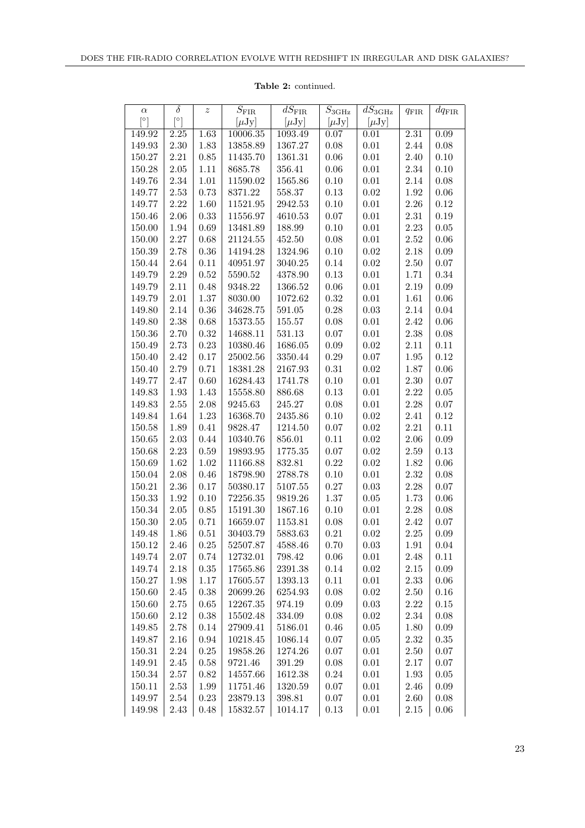| $\alpha$              | $\delta$              | $\boldsymbol{z}$ | $\overline{S}_{\rm FIR}$ | $\overline{d}S_{\rm FIR}$ | $S_{3\rm GHz}$ | $\overline{dS}_{3\text{GHz}}$ | $q_{\rm FIR}$ | $dq_{\rm FIR}$ |
|-----------------------|-----------------------|------------------|--------------------------|---------------------------|----------------|-------------------------------|---------------|----------------|
| $\lceil \circ \rceil$ | $\lceil \circ \rceil$ |                  | $[\mu Jy]$               | $[\mu Jy]$                | $[\mu Jy]$     | $[\mu Jy]$                    |               |                |
| 149.92                | $2.25\,$              | 1.63             | 10006.35                 | 1093.49                   | 0.07           | 0.01                          | 2.31          | 0.09           |
| 149.93                | $2.30\,$              | 1.83             | 13858.89                 | 1367.27                   | 0.08           | $0.01\,$                      | 2.44          | 0.08           |
| 150.27                | $2.21\,$              | $0.85\,$         | 11435.70                 | 1361.31                   | 0.06           | $0.01\,$                      | 2.40          | 0.10           |
| 150.28                | $2.05\,$              | $1.11\,$         | 8685.78                  | 356.41                    | $0.06\,$       | $0.01\,$                      | 2.34          | 0.10           |
| 149.76                | 2.34                  | $1.01\,$         | 11590.02                 | 1565.86                   | $0.10\,$       | $0.01\,$                      | 2.14          | $0.08\,$       |
| 149.77                | $2.53\,$              | 0.73             | 8371.22                  | 558.37                    | 0.13           | $0.02\,$                      | $1.92\,$      | $0.06\,$       |
| 149.77                | 2.22                  | $1.60\,$         | 11521.95                 | 2942.53                   | $0.10\,$       | $0.01\,$                      | 2.26          | $0.12\,$       |
| 150.46                | 2.06                  | 0.33             | 11556.97                 | 4610.53                   | 0.07           | $0.01\,$                      | $2.31\,$      | $0.19\,$       |
| 150.00                | 1.94                  | $0.69\,$         | 13481.89                 | 188.99                    | 0.10           | $0.01\,$                      | 2.23          | $0.05\,$       |
| 150.00                | 2.27                  | 0.68             | 21124.55                 | 452.50                    | $0.08\,$       | $0.01\,$                      | 2.52          | $0.06\,$       |
| 150.39                | 2.78                  | $0.36\,$         | 14194.28                 | 1324.96                   | $0.10\,$       | $\rm 0.02$                    | 2.18          | $0.09\,$       |
| 150.44                | $2.64\,$              | $0.11\,$         | 40951.97                 | 3040.25                   | $0.14\,$       | $\rm 0.02$                    | 2.50          | 0.07           |
| 149.79                | 2.29                  | $0.52\,$         | 5590.52                  | 4378.90                   | $0.13\,$       | $0.01\,$                      | 1.71          | 0.34           |
| 149.79                | $2.11\,$              | $0.48\,$         | 9348.22                  | 1366.52                   | $0.06\,$       | $0.01\,$                      | 2.19          | $0.09\,$       |
| 149.79                | $2.01\,$              | $1.37\,$         | 8030.00                  | 1072.62                   | 0.32           | $0.01\,$                      | 1.61          | $0.06\,$       |
| 149.80                | 2.14                  | $0.36\,$         | 34628.75                 | 591.05                    | $0.28\,$       | $0.03\,$                      | 2.14          | $0.04\,$       |
| 149.80                | 2.38                  | $0.68\,$         | 15373.55                 | 155.57                    | $0.08\,$       | $0.01\,$                      | 2.42          | $0.06\,$       |
| 150.36                | 2.70                  | $0.32\,$         | 14688.11                 | 531.13                    | 0.07           | $0.01\,$                      | 2.38          | $0.08\,$       |
| 150.49                | 2.73                  | $0.23\,$         | 10380.46                 | 1686.05                   | 0.09           | $\rm 0.02$                    | 2.11          | $0.11\,$       |
| 150.40                | 2.42                  | $0.17\,$         | 25002.56                 | 3350.44                   | 0.29           | $0.07\,$                      | $1.95\,$      | $0.12\,$       |
| 150.40                | 2.79                  | $0.71\,$         | 18381.28                 | 2167.93                   | $0.31\,$       | $0.02\,$                      | 1.87          | $0.06\,$       |
| 149.77                | 2.47                  | $0.60\,$         | 16284.43                 | 1741.78                   | $0.10\,$       | $0.01\,$                      | 2.30          | $0.07\,$       |
| 149.83                | 1.93                  | 1.43             | 15558.80                 | 886.68                    | $0.13\,$       | $0.01\,$                      | 2.22          | $0.05\,$       |
| 149.83                | $2.55\,$              | $2.08\,$         | 9245.63                  | 245.27                    | $0.08\,$       | $0.01\,$                      | 2.28          | $0.07\,$       |
| 149.84                | 1.64                  | $1.23\,$         | 16368.70                 | 2435.86                   | $0.10\,$       | $\rm 0.02$                    | 2.41          | 0.12           |
| 150.58                | 1.89                  | $0.41\,$         | 9828.47                  | 1214.50                   | $0.07\,$       | $\rm 0.02$                    | $2.21\,$      | 0.11           |
| 150.65                | $2.03\,$              | 0.44             | 10340.76                 | 856.01                    | $0.11\,$       | $\rm 0.02$                    | 2.06          | 0.09           |
| 150.68                | 2.23                  | $0.59\,$         | 19893.95                 | 1775.35                   | $0.07\,$       | $0.02\,$                      | 2.59          | 0.13           |
| 150.69                | 1.62                  | $1.02\,$         | 11166.88                 | 832.81                    | 0.22           | $0.02\,$                      | 1.82          | 0.06           |
| 150.04                | $2.08\,$              | $0.46\,$         | 18798.90                 | 2788.78                   | $0.10\,$       | $0.01\,$                      | 2.32          | 0.08           |
| 150.21                | 2.36                  | $0.17\,$         | 50380.17                 | 5107.55                   | $0.27\,$       | $0.03\,$                      | 2.28          | 0.07           |
| 150.33                | 1.92                  | $0.10\,$         | 72256.35                 | 9819.26                   | $1.37\,$       | $0.05\,$                      | 1.73          | 0.06           |
| 150.34                | $2.05\,$              | $0.85\,$         | 15191.30                 | 1867.16                   | $0.10\,$       | $0.01\,$                      | 2.28          | $0.08\,$       |
| 150.30                | $2.05\,$              | 0.71             | 16659.07                 | 1153.81                   | $0.08\,$       | $0.01\,$                      | 2.42          | 0.07           |
| 149.48                | 1.86                  | $0.51\,$         | 30403.79                 | 5883.63                   | $\rm 0.21$     | $\rm 0.02$                    | 2.25          | 0.09           |
| 150.12                | 2.46                  | 0.25             | 52507.87                 | 4588.46                   | 0.70           | 0.03                          | 1.91          | 0.04           |
| 149.74                | 2.07                  | 0.74             | 12732.01                 | 798.42                    | 0.06           | 0.01                          | 2.48          | 0.11           |
| 149.74                | 2.18                  | $0.35\,$         | 17565.86                 | 2391.38                   | 0.14           | 0.02                          | 2.15          | 0.09           |
| 150.27                | 1.98                  | 1.17             | 17605.57                 | 1393.13                   | 0.11           | 0.01                          | 2.33          | 0.06           |
| 150.60                | 2.45                  | $0.38\,$         | 20699.26                 | 6254.93                   | 0.08           | 0.02                          | 2.50          | 0.16           |
| 150.60                | 2.75                  | 0.65             | 12267.35                 | 974.19                    | 0.09           | 0.03                          | 2.22          | 0.15           |
| 150.60                | 2.12                  | $0.38\,$         | 15502.48                 | 334.09                    | 0.08           | 0.02                          | 2.34          | 0.08           |
| 149.85                | 2.78                  | 0.14             | 27909.41                 | 5186.01                   | 0.46           | $0.05\,$                      | 1.80          | 0.09           |
| 149.87                | 2.16                  | 0.94             | 10218.45                 | 1086.14                   | 0.07           | 0.05                          | 2.32          | 0.35           |
| 150.31                | 2.24                  | $0.25\,$         | 19858.26                 | 1274.26                   | 0.07           | 0.01                          | 2.50          | $0.07\,$       |
| 149.91                | 2.45                  | $0.58\,$         | 9721.46                  | 391.29                    | 0.08           | 0.01                          | 2.17          | $0.07\,$       |
| 150.34                | 2.57                  | 0.82             | 14557.66                 | 1612.38                   | 0.24           | 0.01                          | 1.93          | $0.05\,$       |
| 150.11                | 2.53                  | 1.99             | 11751.46                 | 1320.59                   | 0.07           | 0.01                          | 2.46          | 0.09           |
| 149.97                | 2.54                  | $0.23\,$         | 23879.13                 | 398.81                    | $0.07\,$       | 0.01                          | 2.60          | 0.08           |
| 149.98                | 2.43                  | 0.48             | 15832.57                 | 1014.17                   | 0.13           | 0.01                          | 2.15          | 0.06           |

### Table 2: continued.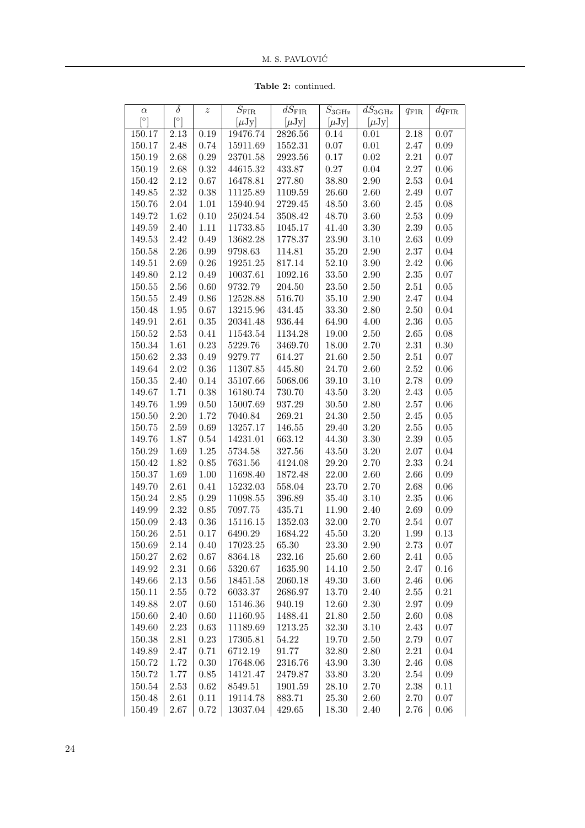Table 2: continued.

| $\alpha$              | $\delta$              | $\boldsymbol{z}$ | $S_{\rm FIR}$ | $\overline{d}S_{\rm FIR}$ | $S_{3{\rm GHz}}$ | $\overline{d}S_{\rm 3 GHz}$ |               | $dq_{\rm FIR}$ |
|-----------------------|-----------------------|------------------|---------------|---------------------------|------------------|-----------------------------|---------------|----------------|
| $\lceil \circ \rceil$ | $\lceil \circ \rceil$ |                  | $[\mu Jy]$    | $[\mu Jy]$                | $[\mu Jy]$       | $[\mu Jy]$                  | $q_{\rm FIR}$ |                |
| 150.17                | 2.13                  | 0.19             | 19476.74      | 2826.56                   | 0.14             | 0.01                        | 2.18          | 0.07           |
| 150.17                | 2.48                  | 0.74             | 15911.69      | 1552.31                   | $0.07\,$         | $0.01\,$                    | 2.47          | 0.09           |
| 150.19                | 2.68                  | $0.29\,$         | 23701.58      | 2923.56                   | 0.17             | $0.02\,$                    | 2.21          | $0.07\,$       |
| 150.19                | 2.68                  | $\rm 0.32$       | 44615.32      | 433.87                    | $0.27\,$         | 0.04                        | 2.27          | 0.06           |
| 150.42                | 2.12                  | $0.67\,$         | 16478.81      | 277.80                    | 38.80            | $2.90\,$                    | 2.53          | 0.04           |
| 149.85                | $2.32\,$              | $0.38\,$         | 11125.89      | 1109.59                   | 26.60            | 2.60                        | 2.49          | $0.07\,$       |
| 150.76                | $2.04\,$              | $1.01\,$         | 15940.94      | 2729.45                   | 48.50            | 3.60                        | 2.45          | $0.08\,$       |
| 149.72                | 1.62                  | 0.10             | 25024.54      | 3508.42                   | 48.70            | $3.60\,$                    | $2.53\,$      | 0.09           |
| 149.59                | 2.40                  | $1.11\,$         | 11733.85      | 1045.17                   | 41.40            | $3.30\,$                    | 2.39          | $0.05\,$       |
| 149.53                | 2.42                  | 0.49             | 13682.28      | 1778.37                   | 23.90            | 3.10                        | 2.63          | 0.09           |
| 150.58                | $2.26\,$              | 0.99             | 9798.63       | 114.81                    | 35.20            | $2.90\,$                    | $2.37\,$      | 0.04           |
| 149.51                | $2.69\,$              | $0.26\,$         | 19251.25      | 817.14                    | 52.10            | 3.90                        | 2.42          | 0.06           |
| 149.80                | 2.12                  | 0.49             | 10037.61      | 1092.16                   | 33.50            | $2.90\,$                    | $2.35\,$      | 0.07           |
| 150.55                | $2.56\,$              | 0.60             | 9732.79       | 204.50                    | 23.50            | $2.50\,$                    | $2.51\,$      | $0.05\,$       |
| 150.55                | 2.49                  | $0.86\,$         | 12528.88      | 516.70                    | 35.10            | $2.90\,$                    | 2.47          | 0.04           |
| 150.48                | $1.95\,$              | $0.67\,$         | 13215.96      | 434.45                    | 33.30            | $2.80\,$                    | 2.50          | 0.04           |
| 149.91                | $2.61\,$              | $0.35\,$         | 20341.48      | 936.44                    | 64.90            | 4.00                        | 2.36          | $0.05\,$       |
| 150.52                | $2.53\,$              | $0.41\,$         | 11543.54      | 1134.28                   | 19.00            | $2.50\,$                    | $2.65\,$      | $0.08\,$       |
| 150.34                | 1.61                  | $0.23\,$         | 5229.76       | 3469.70                   | 18.00            | 2.70                        | 2.31          | 0.30           |
| 150.62                | 2.33                  | 0.49             | 9279.77       | 614.27                    | 21.60            | $2.50\,$                    | $2.51\,$      | 0.07           |
| 149.64                | $2.02\,$              | $0.36\,$         | 11307.85      | 445.80                    | 24.70            | 2.60                        | $2.52\,$      | 0.06           |
| 150.35                | 2.40                  | 0.14             | 35107.66      | 5068.06                   | 39.10            | 3.10                        | 2.78          | 0.09           |
| 149.67                | 1.71                  | $0.38\,$         | 16180.74      | 730.70                    | 43.50            | $3.20\,$                    | 2.43          | $0.05\,$       |
| 149.76                | 1.99                  | $0.50\,$         | 15007.69      | 937.29                    | 30.50            | $2.80\,$                    | $2.57\,$      | 0.06           |
| 150.50                | $2.20\,$              | 1.72             | 7040.84       | 269.21                    | 24.30            | $2.50\,$                    | $2.45\,$      | $0.05\,$       |
| 150.75                | $2.59\,$              | 0.69             | 13257.17      | 146.55                    | 29.40            | $3.20\,$                    | $2.55\,$      | $0.05\,$       |
| 149.76                | 1.87                  | $0.54\,$         | 14231.01      | 663.12                    | 44.30            | 3.30                        | 2.39          | $0.05\,$       |
| 150.29                | 1.69                  | $1.25\,$         | 5734.58       | 327.56                    | 43.50            | $3.20\,$                    | $2.07\,$      | 0.04           |
| 150.42                | 1.82                  | $0.85\,$         | 7631.56       | 4124.08                   | 29.20            | 2.70                        | 2.33          | $0.24\,$       |
| 150.37                | 1.69                  | $1.00\,$         | 11698.40      | 1872.48                   | 22.00            | 2.60                        | 2.66          | 0.09           |
| 149.70                | $2.61\,$              | 0.41             | 15232.03      | 558.04                    | 23.70            | 2.70                        | 2.68          | 0.06           |
| 150.24                | $2.85\,$              | $0.29\,$         | 11098.55      | 396.89                    | 35.40            | $3.10\,$                    | $2.35\,$      | 0.06           |
| 149.99                | 2.32                  | $0.85\,$         | 7097.75       | 435.71                    | 11.90            | $2.40\,$                    | $2.69\,$      | 0.09           |
| 150.09                | 2.43                  | $0.36\,$         | 15116.15      | 1352.03                   | 32.00            | $2.70\,$                    | 2.54          | 0.07           |
| 150.26                | $2.51\,$              | 0.17             | 6490.29       | 1684.22                   | 45.50            | $3.20\,$                    | 1.99          | 0.13           |
| 150.69                | 2.14                  | 0.40             | 17023.25      | 65.30                     | 23.30            | 2.90                        | 2.73          | 0.07           |
| 150.27                | 2.62                  | 0.67             | 8364.18       | 232.16                    | 25.60            | 2.60                        | 2.41          | 0.05           |
| 149.92                | $2.31\,$              | 0.66             | 5320.67       | 1635.90                   | 14.10            | 2.50                        | 2.47          | 0.16           |
| 149.66                | 2.13                  | 0.56             | 18451.58      | 2060.18                   | 49.30            | 3.60                        | 2.46          | 0.06           |
| 150.11                | $2.55\,$              | 0.72             | 6033.37       | 2686.97                   | 13.70            | 2.40                        | 2.55          | 0.21           |
| 149.88                | $2.07\,$              | 0.60             | 15146.36      | 940.19                    | 12.60            | 2.30                        | 2.97          | 0.09           |
| 150.60                | 2.40                  | 0.60             | 11160.95      | 1488.41                   | 21.80            | 2.50                        | 2.60          | 0.08           |
| 149.60                | $2.23\,$              | $\,0.63\,$       | 11189.69      | 1213.25                   | 32.30            | 3.10                        | 2.43          | 0.07           |
| 150.38                | 2.81                  | 0.23             | 17305.81      | 54.22                     | 19.70            | 2.50                        | 2.79          | 0.07           |
| 149.89                | 2.47                  | 0.71             | 6712.19       | 91.77                     | 32.80            | 2.80                        | 2.21          | 0.04           |
| 150.72                | 1.72                  | 0.30             | 17648.06      | 2316.76                   | 43.90            | 3.30                        | 2.46          | 0.08           |
| 150.72                | 1.77                  | $0.85\,$         | 14121.47      | 2479.87                   | 33.80            | 3.20                        | 2.54          | 0.09           |
| 150.54                | 2.53                  | 0.62             | 8549.51       | 1901.59                   | 28.10            | 2.70                        | 2.38          | 0.11           |
| 150.48                | 2.61                  | 0.11             | 19114.78      | 883.71                    | 25.30            | 2.60                        | 2.70          | 0.07           |
| 150.49                | 2.67                  | 0.72             | 13037.04      | 429.65                    | 18.30            | 2.40                        | 2.76          | 0.06           |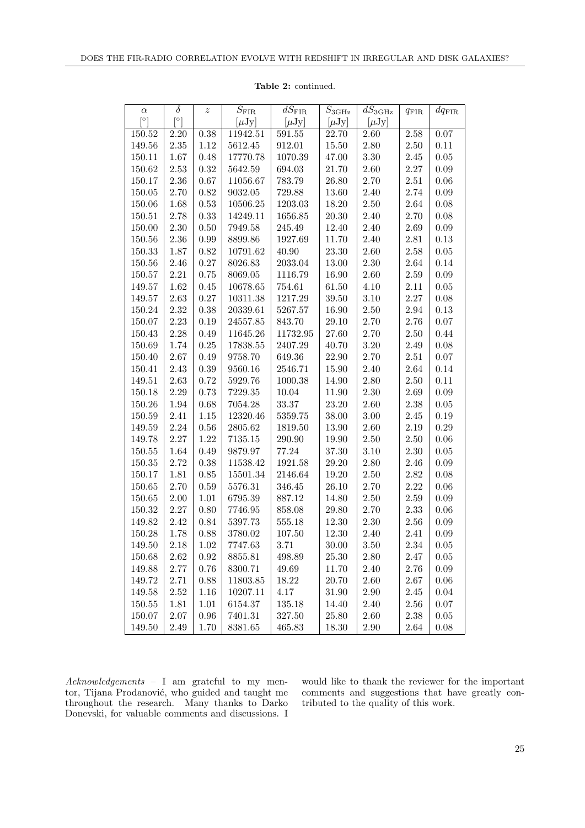| $\alpha$   | $\delta$ | $\boldsymbol{z}$ | $\bar{S}_{\rm FIR}$ | $\overline{dS}_{\rm FIR}$ | $\overline{S}_{3{\rm GHz}}$ | $\overline{dS}_{3\text{GHz}}$ | $q_{\rm FIR}$ | $dq_{\rm FIR}$ |
|------------|----------|------------------|---------------------|---------------------------|-----------------------------|-------------------------------|---------------|----------------|
| [°]        | [0]      |                  | $[\mu Jy]$          | $[\mu Jy]$                | $[\mu Jy]$                  | $[\mu Jy]$                    |               |                |
| 150.52     | 2.20     | 0.38             | 11942.51            | 591.55                    | 22.70                       | 2.60                          | 2.58          | 0.07           |
| 149.56     | $2.35\,$ | 1.12             | 5612.45             | 912.01                    | 15.50                       | $2.80\,$                      | 2.50          | 0.11           |
| 150.11     | 1.67     | 0.48             | 17770.78            | 1070.39                   | 47.00                       | $3.30\,$                      | 2.45          | $0.05\,$       |
| 150.62     | 2.53     | 0.32             | 5642.59             | 694.03                    | 21.70                       | 2.60                          | $2.27\,$      | $0.09\,$       |
| 150.17     | 2.36     | 0.67             | 11056.67            | 783.79                    | 26.80                       | $2.70\,$                      | $2.51\,$      | $0.06\,$       |
| 150.05     | 2.70     | 0.82             | 9032.05             | 729.88                    | 13.60                       | 2.40                          | 2.74          | 0.09           |
| 150.06     | 1.68     | 0.53             | 10506.25            | 1203.03                   | 18.20                       | $2.50\,$                      | 2.64          | $0.08\,$       |
| 150.51     | 2.78     | 0.33             | 14249.11            | 1656.85                   | 20.30                       | 2.40                          | 2.70          | $0.08\,$       |
| 150.00     | 2.30     | 0.50             | 7949.58             | 245.49                    | 12.40                       | 2.40                          | 2.69          | 0.09           |
| 150.56     | 2.36     | 0.99             | 8899.86             | 1927.69                   | 11.70                       | 2.40                          | 2.81          | $0.13\,$       |
| 150.33     | 1.87     | 0.82             | 10791.62            | 40.90                     | 23.30                       | 2.60                          | 2.58          | $0.05\,$       |
| 150.56     | 2.46     | $0.27\,$         | 8026.83             | 2033.04                   | 13.00                       | $2.30\,$                      | 2.64          | 0.14           |
| 150.57     | 2.21     | 0.75             | 8069.05             | 1116.79                   | 16.90                       | 2.60                          | $2.59\,$      | $0.09\,$       |
| 149.57     | 1.62     | 0.45             | 10678.65            | 754.61                    | 61.50                       | 4.10                          | 2.11          | $0.05\,$       |
| 149.57     | 2.63     | 0.27             | 10311.38            | 1217.29                   | 39.50                       | 3.10                          | 2.27          | $0.08\,$       |
| 150.24     | 2.32     | 0.38             | 20339.61            | 5267.57                   | 16.90                       | $2.50\,$                      | 2.94          | 0.13           |
| 150.07     | 2.23     | 0.19             | 24557.85            | 843.70                    | 29.10                       | 2.70                          | 2.76          | $0.07\,$       |
| 150.43     | $2.28\,$ | 0.49             | 11645.26            | 11732.95                  | 27.60                       | 2.70                          | 2.50          | 0.44           |
| 150.69     | 1.74     | 0.25             | 17838.55            | 2407.29                   | 40.70                       | $3.20\,$                      | 2.49          | $0.08\,$       |
| 150.40     | 2.67     | 0.49             | 9758.70             | 649.36                    | 22.90                       | 2.70                          | 2.51          | $0.07\,$       |
| 150.41     | $2.43\,$ | $0.39\,$         | 9560.16             | 2546.71                   | 15.90                       | 2.40                          | 2.64          | 0.14           |
| 149.51     | $2.63\,$ | 0.72             | 5929.76             | 1000.38                   | 14.90                       | $2.80\,$                      | 2.50          | 0.11           |
| 150.18     | $2.29\,$ | 0.73             | 7229.35             | 10.04                     | 11.90                       | $2.30\,$                      | 2.69          | $0.09\,$       |
| 150.26     | $1.94\,$ | 0.68             | 7054.28             | 33.37                     | 23.20                       | 2.60                          | $2.38\,$      | 0.05           |
| 150.59     | 2.41     | $1.15\,$         | 12320.46            | 5359.75                   | 38.00                       | $3.00\,$                      | $2.45\,$      | 0.19           |
| 149.59     | $2.24\,$ | $0.56\,$         | 2805.62             | 1819.50                   | 13.90                       | 2.60                          | $2.19\,$      | $0.29\,$       |
| 149.78     | $2.27\,$ | $1.22\,$         | 7135.15             | 290.90                    | 19.90                       | $2.50\,$                      | 2.50          | $0.06\,$       |
| 150.55     | 1.64     | 0.49             | 9879.97             | 77.24                     | 37.30                       | $3.10\,$                      | $2.30\,$      | $0.05\,$       |
| $150.35\,$ | 2.72     | $0.38\,$         | 11538.42            | 1921.58                   | 29.20                       | $2.80\,$                      | 2.46          | $0.09\,$       |
| 150.17     | $1.81\,$ | 0.85             | 15501.34            | 2146.64                   | 19.20                       | 2.50                          | $2.82\,$      | 0.08           |
| 150.65     | 2.70     | 0.59             | 5576.31             | 346.45                    | 26.10                       | $2.70\,$                      | 2.22          | $0.06\,$       |
| 150.65     | $2.00\,$ | $1.01\,$         | 6795.39             | 887.12                    | 14.80                       | 2.50                          | 2.59          | $0.09\,$       |
| 150.32     | 2.27     | $0.80\,$         | 7746.95             | 858.08                    | 29.80                       | $2.70\,$                      | 2.33          | $0.06\,$       |
| 149.82     | $2.42\,$ | 0.84             | 5397.73             | 555.18                    | 12.30                       | $2.30\,$                      | 2.56          | $0.09\,$       |
| 150.28     | 1.78     | 0.88             | 3780.02             | 107.50                    | 12.30                       | 2.40                          | 2.41          | 0.09           |
| 149.50     | 2.18     | $1.02\,$         | 7747.63             | $3.71\,$                  | 30.00                       | $3.50\,$                      | 2.34          | 0.05           |
| 150.68     | 2.62     | 0.92             | 8855.81             | 498.89                    | 25.30                       | 2.80                          | 2.47          | $0.05\,$       |
| 149.88     | 2.77     | 0.76             | 8300.71             | 49.69                     | 11.70                       | 2.40                          | 2.76          | 0.09           |
| 149.72     | 2.71     | 0.88             | 11803.85            | 18.22                     | 20.70                       | 2.60                          | 2.67          | 0.06           |
| 149.58     | $2.52\,$ | 1.16             | 10207.11            | 4.17                      | 31.90                       | $2.90\,$                      | 2.45          | 0.04           |
| 150.55     | 1.81     | $1.01\,$         | 6154.37             | 135.18                    | 14.40                       | 2.40                          | 2.56          | 0.07           |
| 150.07     | 2.07     | 0.96             | 7401.31             | 327.50                    | 25.80                       | 2.60                          | 2.38          | 0.05           |
| 149.50     | 2.49     | 1.70             | 8381.65             | 465.83                    | 18.30                       | 2.90                          | 2.64          | 0.08           |

Table 2: continued.

Acknowledgements – I am grateful to my mentor, Tijana Prodanović, who guided and taught me throughout the research. Many thanks to Darko Donevski, for valuable comments and discussions. I

would like to thank the reviewer for the important comments and suggestions that have greatly contributed to the quality of this work.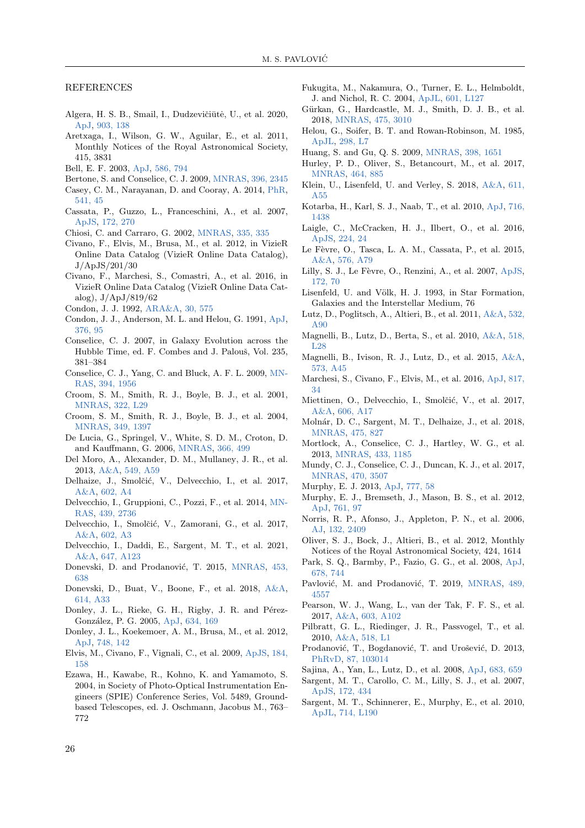REFERENCES

- <span id="page-11-7"></span>Algera, H. S. B., Smail, I., Dudzevičiūtė, U., et al. 2020, [ApJ,](https://ui.adsabs.harvard.edu/abs/2020ApJ...903..138A) [903, 138](https://ui.adsabs.harvard.edu/abs/2020ApJ...903..138A)
- <span id="page-11-49"></span>Aretxaga, I., Wilson, G. W., Aguilar, E., et al. 2011, Monthly Notices of the Royal Astronomical Society, 415, 3831
- <span id="page-11-54"></span><span id="page-11-2"></span>Bell, E. F. 2003, [ApJ,](https://ui.adsabs.harvard.edu/abs/2003ApJ...586..794B) [586, 794](https://ui.adsabs.harvard.edu/abs/2003ApJ...586..794B)
- Bertone, S. and Conselice, C. J. 2009, [MNRAS,](https://ui.adsabs.harvard.edu/abs/2009MNRAS.396.2345B) [396, 2345](https://ui.adsabs.harvard.edu/abs/2009MNRAS.396.2345B)
- <span id="page-11-27"></span>Casey, C. M., Narayanan, D. and Cooray, A. 2014, [PhR,](https://ui.adsabs.harvard.edu/abs/2014PhR...541...45C) [541, 45](https://ui.adsabs.harvard.edu/abs/2014PhR...541...45C)
- <span id="page-11-31"></span>Cassata, P., Guzzo, L., Franceschini, A., et al. 2007, [ApJS,](https://ui.adsabs.harvard.edu/abs/2007ApJS..172..270C) [172, 270](https://ui.adsabs.harvard.edu/abs/2007ApJS..172..270C)
- <span id="page-11-24"></span>Chiosi, C. and Carraro, G. 2002, [MNRAS,](https://ui.adsabs.harvard.edu/abs/2002MNRAS.335..335C) [335, 335](https://ui.adsabs.harvard.edu/abs/2002MNRAS.335..335C)
- <span id="page-11-37"></span>Civano, F., Elvis, M., Brusa, M., et al. 2012, in VizieR Online Data Catalog (VizieR Online Data Catalog), J/ApJS/201/30
- <span id="page-11-38"></span>Civano, F., Marchesi, S., Comastri, A., et al. 2016, in VizieR Online Data Catalog (VizieR Online Data Catalog),  $J/ApJ/819/62$
- <span id="page-11-13"></span>Condon, J. J. 1992, [ARA&A,](https://ui.adsabs.harvard.edu/abs/1992ARA&A..30..575C) [30, 575](https://ui.adsabs.harvard.edu/abs/1992ARA&A..30..575C)
- <span id="page-11-1"></span>Condon, J. J., Anderson, M. L. and Helou, G. 1991, [ApJ,](https://ui.adsabs.harvard.edu/abs/1991ApJ...376...95C) [376, 95](https://ui.adsabs.harvard.edu/abs/1991ApJ...376...95C)
- <span id="page-11-52"></span>Conselice, C. J. 2007, in Galaxy Evolution across the Hubble Time, ed. F. Combes and J. Palouš, Vol. 235, 381–384
- <span id="page-11-53"></span>Conselice, C. J., Yang, C. and Bluck, A. F. L. 2009, [MN-](https://ui.adsabs.harvard.edu/abs/2009MNRAS.394.1956C)[RAS,](https://ui.adsabs.harvard.edu/abs/2009MNRAS.394.1956C) [394, 1956](https://ui.adsabs.harvard.edu/abs/2009MNRAS.394.1956C)
- <span id="page-11-33"></span>Croom, S. M., Smith, R. J., Boyle, B. J., et al. 2001, [MNRAS,](https://ui.adsabs.harvard.edu/abs/2001MNRAS.322L..29C) [322, L29](https://ui.adsabs.harvard.edu/abs/2001MNRAS.322L..29C)
- <span id="page-11-34"></span>Croom, S. M., Smith, R. J., Boyle, B. J., et al. 2004, [MNRAS,](https://ui.adsabs.harvard.edu/abs/2004MNRAS.349.1397C) [349, 1397](https://ui.adsabs.harvard.edu/abs/2004MNRAS.349.1397C)
- <span id="page-11-25"></span>De Lucia, G., Springel, V., White, S. D. M., Croton, D. and Kauffmann, G. 2006, [MNRAS,](https://ui.adsabs.harvard.edu/abs/2006MNRAS.366..499D) [366, 499](https://ui.adsabs.harvard.edu/abs/2006MNRAS.366..499D)
- <span id="page-11-12"></span>Del Moro, A., Alexander, D. M., Mullaney, J. R., et al. 2013, [A&A,](https://ui.adsabs.harvard.edu/abs/2013A&A...549A..59D) [549, A59](https://ui.adsabs.harvard.edu/abs/2013A&A...549A..59D)
- <span id="page-11-4"></span>Delhaize, J., Smolčić, V., Delvecchio, I., et al. 2017, [A&A,](https://ui.adsabs.harvard.edu/abs/2017A&A...602A...4D) [602, A4](https://ui.adsabs.harvard.edu/abs/2017A&A...602A...4D)
- <span id="page-11-40"></span>Delvecchio, I., Gruppioni, C., Pozzi, F., et al. 2014, [MN-](https://ui.adsabs.harvard.edu/abs/2014MNRAS.439.2736D)[RAS,](https://ui.adsabs.harvard.edu/abs/2014MNRAS.439.2736D) [439, 2736](https://ui.adsabs.harvard.edu/abs/2014MNRAS.439.2736D)
- <span id="page-11-41"></span>Delvecchio, I., Smolčić, V., Zamorani, G., et al. 2017, [A&A,](https://ui.adsabs.harvard.edu/abs/2017A&A...602A...3D) [602, A3](https://ui.adsabs.harvard.edu/abs/2017A&A...602A...3D)
- <span id="page-11-8"></span>Delvecchio, I., Daddi, E., Sargent, M. T., et al. 2021, [A&A,](https://ui.adsabs.harvard.edu/abs/2021A&A...647A.123D) [647, A123](https://ui.adsabs.harvard.edu/abs/2021A&A...647A.123D)
- <span id="page-11-22"></span>Donevski, D. and Prodanović, T. 2015, [MNRAS,](https://ui.adsabs.harvard.edu/abs/2015MNRAS.453..638D) [453,](https://ui.adsabs.harvard.edu/abs/2015MNRAS.453..638D) [638](https://ui.adsabs.harvard.edu/abs/2015MNRAS.453..638D)
- <span id="page-11-30"></span>Donevski, D., Buat, V., Boone, F., et al. 2018, [A&A,](https://ui.adsabs.harvard.edu/abs/2018A&A...614A..33D) [614, A33](https://ui.adsabs.harvard.edu/abs/2018A&A...614A..33D)
- <span id="page-11-9"></span>Donley, J. L., Rieke, G. H., Rigby, J. R. and Pérez-González, P. G. 2005, [ApJ,](https://ui.adsabs.harvard.edu/abs/2005ApJ...634..169D) [634, 169](https://ui.adsabs.harvard.edu/abs/2005ApJ...634..169D)
- <span id="page-11-35"></span>Donley, J. L., Koekemoer, A. M., Brusa, M., et al. 2012, [ApJ,](https://ui.adsabs.harvard.edu/abs/2012ApJ...748..142D) [748, 142](https://ui.adsabs.harvard.edu/abs/2012ApJ...748..142D)
- <span id="page-11-36"></span>Elvis, M., Civano, F., Vignali, C., et al. 2009, [ApJS,](https://ui.adsabs.harvard.edu/abs/2009ApJS..184..158E) [184,](https://ui.adsabs.harvard.edu/abs/2009ApJS..184..158E) [158](https://ui.adsabs.harvard.edu/abs/2009ApJS..184..158E)
- <span id="page-11-26"></span>Ezawa, H., Kawabe, R., Kohno, K. and Yamamoto, S. 2004, in Society of Photo-Optical Instrumentation Engineers (SPIE) Conference Series, Vol. 5489, Groundbased Telescopes, ed. J. Oschmann, Jacobus M., 763– 772
- <span id="page-11-56"></span>Fukugita, M., Nakamura, O., Turner, E. L., Helmboldt, J. and Nichol, R. C. 2004, [ApJL,](https://ui.adsabs.harvard.edu/abs/2004ApJ...601L.127F) [601, L127](https://ui.adsabs.harvard.edu/abs/2004ApJ...601L.127F)
- <span id="page-11-5"></span>Gürkan, G., Hardcastle, M. J., Smith, D. J. B., et al. 2018, [MNRAS,](https://ui.adsabs.harvard.edu/abs/2018MNRAS.475.3010G) [475, 3010](https://ui.adsabs.harvard.edu/abs/2018MNRAS.475.3010G)
- <span id="page-11-0"></span>Helou, G., Soifer, B. T. and Rowan-Robinson, M. 1985, [ApJL,](https://ui.adsabs.harvard.edu/abs/1985ApJ...298L...7H) [298, L7](https://ui.adsabs.harvard.edu/abs/1985ApJ...298L...7H)
- <span id="page-11-57"></span>Huang, S. and Gu, Q. S. 2009, [MNRAS,](https://ui.adsabs.harvard.edu/abs/2009MNRAS.398.1651H) [398, 1651](https://ui.adsabs.harvard.edu/abs/2009MNRAS.398.1651H)
- <span id="page-11-29"></span>Hurley, P. D., Oliver, S., Betancourt, M., et al. 2017, [MNRAS,](https://ui.adsabs.harvard.edu/abs/2017MNRAS.464..885H) [464, 885](https://ui.adsabs.harvard.edu/abs/2017MNRAS.464..885H)
- <span id="page-11-51"></span>Klein, U., Lisenfeld, U. and Verley, S. 2018, [A&A,](https://ui.adsabs.harvard.edu/abs/2018A&A...611A..55K) [611,](https://ui.adsabs.harvard.edu/abs/2018A&A...611A..55K) [A55](https://ui.adsabs.harvard.edu/abs/2018A&A...611A..55K)
- <span id="page-11-21"></span>Kotarba, H., Karl, S. J., Naab, T., et al. 2010, [ApJ,](https://ui.adsabs.harvard.edu/abs/2010ApJ...716.1438K) [716,](https://ui.adsabs.harvard.edu/abs/2010ApJ...716.1438K) [1438](https://ui.adsabs.harvard.edu/abs/2010ApJ...716.1438K)
- <span id="page-11-44"></span>Laigle, C., McCracken, H. J., Ilbert, O., et al. 2016, [ApJS,](https://ui.adsabs.harvard.edu/abs/2016ApJS..224...24L) [224, 24](https://ui.adsabs.harvard.edu/abs/2016ApJS..224...24L)
- <span id="page-11-42"></span>Le Fèvre, O., Tasca, L. A. M., Cassata, P., et al. 2015, [A&A,](https://ui.adsabs.harvard.edu/abs/2015A&A...576A..79L) [576, A79](https://ui.adsabs.harvard.edu/abs/2015A&A...576A..79L)
- <span id="page-11-43"></span>Lilly, S. J., Le Fèvre, O., Renzini, A., et al. 2007, [ApJS,](https://ui.adsabs.harvard.edu/abs/2007ApJS..172...70L) [172, 70](https://ui.adsabs.harvard.edu/abs/2007ApJS..172...70L)
- <span id="page-11-55"></span>Lisenfeld, U. and Völk, H. J. 1993, in Star Formation, Galaxies and the Interstellar Medium, 76
- <span id="page-11-46"></span>Lutz, D., Poglitsch, A., Altieri, B., et al. 2011, [A&A,](https://ui.adsabs.harvard.edu/abs/2011A&A...532A..90L) [532,](https://ui.adsabs.harvard.edu/abs/2011A&A...532A..90L) [A90](https://ui.adsabs.harvard.edu/abs/2011A&A...532A..90L)
- <span id="page-11-15"></span>Magnelli, B., Lutz, D., Berta, S., et al. 2010, [A&A,](https://ui.adsabs.harvard.edu/abs/2010A&A...518L..28M) [518,](https://ui.adsabs.harvard.edu/abs/2010A&A...518L..28M)  $L28$
- <span id="page-11-50"></span>Magnelli, B., Ivison, R. J., Lutz, D., et al. 2015, [A&A,](https://ui.adsabs.harvard.edu/abs/2015A&A...573A..45M) [573, A45](https://ui.adsabs.harvard.edu/abs/2015A&A...573A..45M)
- <span id="page-11-39"></span>Marchesi, S., Civano, F., Elvis, M., et al. 2016, [ApJ,](https://ui.adsabs.harvard.edu/abs/2016ApJ...817...34M) [817,](https://ui.adsabs.harvard.edu/abs/2016ApJ...817...34M) [34](https://ui.adsabs.harvard.edu/abs/2016ApJ...817...34M)
- <span id="page-11-48"></span>Miettinen, O., Delvecchio, I., Smolčić, V., et al. 2017, [A&A,](https://ui.adsabs.harvard.edu/abs/2017A&A...606A..17M) [606, A17](https://ui.adsabs.harvard.edu/abs/2017A&A...606A..17M)
- <span id="page-11-6"></span>Molnár, D. C., Sargent, M. T., Delhaize, J., et al. 2018, [MNRAS,](https://ui.adsabs.harvard.edu/abs/2018MNRAS.475..827M) [475, 827](https://ui.adsabs.harvard.edu/abs/2018MNRAS.475..827M)
- <span id="page-11-18"></span>Mortlock, A., Conselice, C. J., Hartley, W. G., et al. 2013, [MNRAS,](https://ui.adsabs.harvard.edu/abs/2013MNRAS.433.1185M) [433, 1185](https://ui.adsabs.harvard.edu/abs/2013MNRAS.433.1185M)
- <span id="page-11-19"></span>Mundy, C. J., Conselice, C. J., Duncan, K. J., et al. 2017, [MNRAS,](https://ui.adsabs.harvard.edu/abs/2017MNRAS.470.3507M) [470, 3507](https://ui.adsabs.harvard.edu/abs/2017MNRAS.470.3507M)
- <span id="page-11-20"></span><span id="page-11-14"></span>Murphy, E. J. 2013, [ApJ,](https://iopscience.iop.org/article/10.1088/0004-637X/777/1/58/meta) [777, 58](https://iopscience.iop.org/article/10.1088/0004-637X/777/1/58/meta)
- Murphy, E. J., Bremseth, J., Mason, B. S., et al. 2012, [ApJ,](https://ui.adsabs.harvard.edu/abs/2012ApJ...761...97M) [761, 97](https://ui.adsabs.harvard.edu/abs/2012ApJ...761...97M)
- <span id="page-11-10"></span>Norris, R. P., Afonso, J., Appleton, P. N., et al. 2006, [AJ,](https://ui.adsabs.harvard.edu/abs/2006AJ....132.2409N) [132, 2409](https://ui.adsabs.harvard.edu/abs/2006AJ....132.2409N)
- <span id="page-11-47"></span>Oliver, S. J., Bock, J., Altieri, B., et al. 2012, Monthly Notices of the Royal Astronomical Society, 424, 1614
- <span id="page-11-11"></span>Park, S. Q., Barmby, P., Fazio, G. G., et al. 2008, [ApJ,](https://ui.adsabs.harvard.edu/abs/2008ApJ...678..744P) [678, 744](https://ui.adsabs.harvard.edu/abs/2008ApJ...678..744P)
- <span id="page-11-17"></span>Pavlović, M. and Prodanović, T. 2019, [MNRAS,](https://ui.adsabs.harvard.edu/abs/2019MNRAS.489.4557P) [489,](https://ui.adsabs.harvard.edu/abs/2019MNRAS.489.4557P) [4557](https://ui.adsabs.harvard.edu/abs/2019MNRAS.489.4557P)
- <span id="page-11-28"></span>Pearson, W. J., Wang, L., van der Tak, F. F. S., et al. 2017, [A&A,](https://ui.adsabs.harvard.edu/abs/2017A&A...603A.102P) [603, A102](https://ui.adsabs.harvard.edu/abs/2017A&A...603A.102P)
- <span id="page-11-45"></span>Pilbratt, G. L., Riedinger, J. R., Passvogel, T., et al. 2010, [A&A,](https://ui.adsabs.harvard.edu/abs/2010A&A...518L...1P) [518, L1](https://ui.adsabs.harvard.edu/abs/2010A&A...518L...1P)
- <span id="page-11-23"></span>Prodanović, T., Bogdanović, T. and Urošević, D. 2013, [PhRvD,](https://ui.adsabs.harvard.edu/abs/2013PhRvD..87j3014P) [87, 103014](https://ui.adsabs.harvard.edu/abs/2013PhRvD..87j3014P)
- <span id="page-11-16"></span>Sajina, A., Yan, L., Lutz, D., et al. 2008, [ApJ,](https://ui.adsabs.harvard.edu/abs/2008ApJ...683..659S) [683, 659](https://ui.adsabs.harvard.edu/abs/2008ApJ...683..659S)
- <span id="page-11-32"></span>Sargent, M. T., Carollo, C. M., Lilly, S. J., et al. 2007, [ApJS,](https://ui.adsabs.harvard.edu/abs/2007ApJS..172..434S) [172, 434](https://ui.adsabs.harvard.edu/abs/2007ApJS..172..434S)
- <span id="page-11-3"></span>Sargent, M. T., Schinnerer, E., Murphy, E., et al. 2010, [ApJL,](https://ui.adsabs.harvard.edu/abs/2010ApJ...714L.190S) [714, L190](https://ui.adsabs.harvard.edu/abs/2010ApJ...714L.190S)